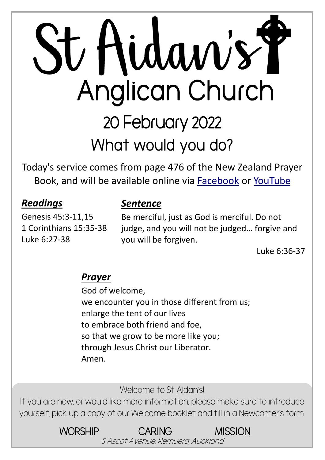# St Hidaw's Y **Anglican Church** 20 February 2022 **What would you do?**

Today's service comes from page 476 of the New Zealand Prayer Book, and will be available online via [Facebook](https://www.facebook.com/StAidansRemuera/) or [YouTube](https://www.youtube.com/channel/UCp1KTUD3GRs20GGAFeAZ7fQ)

*Sentence*

#### *Readings*

#### Genesis 45:3-11,15 1 Corinthians 15:35-38 Luke 6:27-38

#### Be merciful, just as God is merciful. Do not judge, and you will not be judged… forgive and you will be forgiven.

Luke 6:36-37

#### *Prayer*

God of welcome, we encounter you in those different from us; enlarge the tent of our lives to embrace both friend and foe, so that we grow to be more like you; through Jesus Christ our Liberator. Amen.

Welcome to St Aidan's!

If you are new, or would like more information, please make sure to introduce yourself, pick up a copy of our Welcome booklet and fill in a Newcomer's form.

> WORSHIP CARING MISSION 5 Ascot Avenue, Remuera, Auckland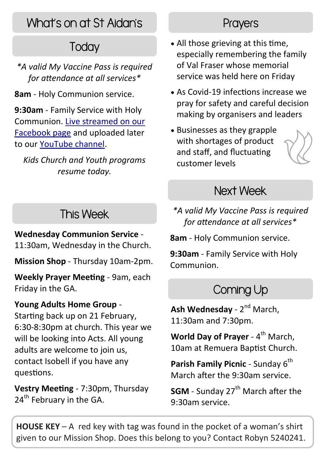# What's on at St Aidan's

# **Today**

- *\*A valid My Vaccine Pass is required for attendance at all services\**
- **8am** Holy Communion service.

**9:30am** - Family Service with Holy Communion. [Live streamed on our](https://www.facebook.com/StAidansRemuera/) [Facebook page](https://www.facebook.com/StAidansRemuera/) and uploaded later to our [YouTube channel.](https://www.youtube.com/channel/UCp1KTUD3GRs20GGAFeAZ7fQ)

*Kids Church and Youth programs resume today.*

# This Week

#### **Wednesday Communion Service** -

11:30am, Wednesday in the Church.

**Mission Shop** - Thursday 10am-2pm.

**Weekly Prayer Meeting** - 9am, each Friday in the GA.

#### **Young Adults Home Group** -

Starting back up on 21 February, 6:30-8:30pm at church. This year we will be looking into Acts. All young adults are welcome to join us, contact Isobell if you have any questions.

**Vestry Meeting** - 7:30pm, Thursday 24<sup>th</sup> February in the GA.

#### **Prayers**

- All those grieving at this time, especially remembering the family of Val Fraser whose memorial service was held here on Friday
- As Covid-19 infections increase we pray for safety and careful decision making by organisers and leaders
- Businesses as they grapple with shortages of product and staff, and fluctuating customer levels

### Next Week

*\*A valid My Vaccine Pass is required for attendance at all services\**

**8am** - Holy Communion service.

**9:30am** - Family Service with Holy Communion.

# Coming Up

**Ash Wednesday** - 2<sup>nd</sup> March, 11:30am and 7:30pm.

World Day of Prayer - 4<sup>th</sup> March, 10am at Remuera Baptist Church.

**Parish Family Picnic - Sunday 6<sup>th</sup>** March after the 9:30am service.

**SGM** - Sunday 27<sup>th</sup> March after the 9:30am service.

**HOUSE KEY** – A red key with tag was found in the pocket of a woman's shirt given to our Mission Shop. Does this belong to you? Contact Robyn 5240241.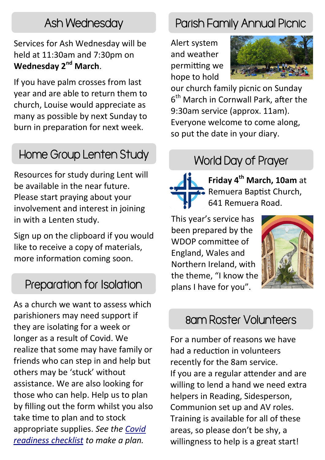Services for Ash Wednesday will be held at 11:30am and 7:30pm on **Wednesday 2nd March**.

If you have palm crosses from last year and are able to return them to church, Louise would appreciate as many as possible by next Sunday to burn in preparation for next week.

# Home Group Lenten Study

Resources for study during Lent will be available in the near future. Please start praying about your involvement and interest in joining in with a Lenten study.

Sign up on the clipboard if you would like to receive a copy of materials, more information coming soon.

#### Preparation for Isolation

As a church we want to assess which parishioners may need support if they are isolating for a week or longer as a result of Covid. We realize that some may have family or friends who can step in and help but others may be 'stuck' without assistance. We are also looking for those who can help. Help us to plan by filling out the form whilst you also take time to plan and to stock appropriate supplies. *See the [Covid](https://covid19.govt.nz/assets/resources/posters/COVID-19-Readiness-Checklist.pdf)  [readiness checklist](https://covid19.govt.nz/assets/resources/posters/COVID-19-Readiness-Checklist.pdf) to make a plan.*

#### Ash Wednesday Parish Family Annual Picnic

Alert system and weather permitting we hope to hold



our church family picnic on Sunday 6<sup>th</sup> March in Cornwall Park, after the 9:30am service (approx. 11am). Everyone welcome to come along, so put the date in your diary.

#### World Day of Prayer



**Friday 4th March, 10am** at Remuera Baptist Church, 641 Remuera Road.

This year's service has been prepared by the WDOP committee of England, Wales and Northern Ireland, with the theme, "I know the plans I have for you".



#### 8am Roster Volunteers

For a number of reasons we have had a reduction in volunteers recently for the 8am service. If you are a regular attender and are willing to lend a hand we need extra helpers in Reading, Sidesperson, Communion set up and AV roles. Training is available for all of these areas, so please don't be shy, a willingness to help is a great start!